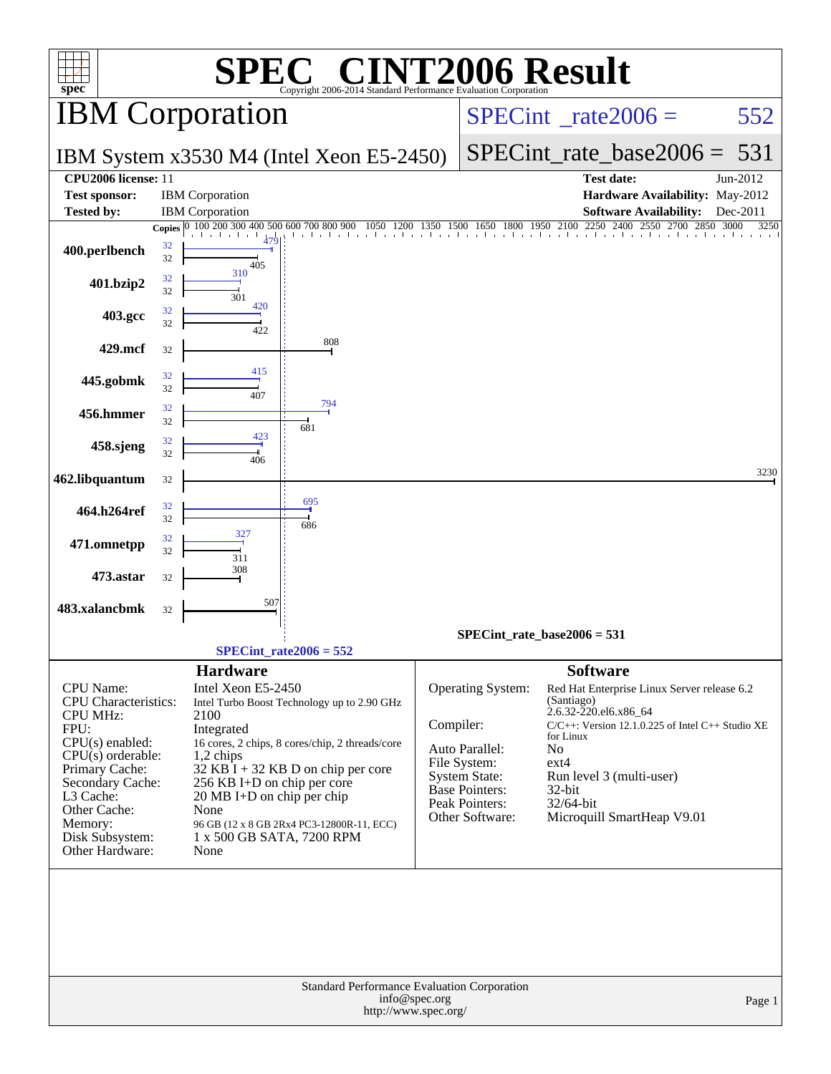| spec <sup>®</sup>                                                                                                                                                                                                                          |          | <b>SPE</b>                                                                                                                                                                                                                                                                                                                                                                  | $\bigcap$ $\bigcap$<br>Copyright 2006-2014 Standard Performance Evaluation Corporation |               |                                                                                                                                                        | <b>INT2006 Result</b>                                                                                                                                                                                                                                                          |              |  |  |
|--------------------------------------------------------------------------------------------------------------------------------------------------------------------------------------------------------------------------------------------|----------|-----------------------------------------------------------------------------------------------------------------------------------------------------------------------------------------------------------------------------------------------------------------------------------------------------------------------------------------------------------------------------|----------------------------------------------------------------------------------------|---------------|--------------------------------------------------------------------------------------------------------------------------------------------------------|--------------------------------------------------------------------------------------------------------------------------------------------------------------------------------------------------------------------------------------------------------------------------------|--------------|--|--|
|                                                                                                                                                                                                                                            |          | <b>IBM</b> Corporation                                                                                                                                                                                                                                                                                                                                                      |                                                                                        |               | $SPECint^{\circ}$ rate $2006 =$                                                                                                                        | 552                                                                                                                                                                                                                                                                            |              |  |  |
|                                                                                                                                                                                                                                            |          |                                                                                                                                                                                                                                                                                                                                                                             | IBM System x3530 M4 (Intel Xeon E5-2450)                                               |               | $SPECint_rate\_base2006 =$                                                                                                                             | 531                                                                                                                                                                                                                                                                            |              |  |  |
| CPU <sub>2006</sub> license: 11                                                                                                                                                                                                            |          |                                                                                                                                                                                                                                                                                                                                                                             |                                                                                        |               |                                                                                                                                                        | <b>Test date:</b>                                                                                                                                                                                                                                                              | Jun-2012     |  |  |
| <b>Test sponsor:</b><br><b>Tested by:</b>                                                                                                                                                                                                  |          | <b>IBM</b> Corporation<br><b>IBM</b> Corporation                                                                                                                                                                                                                                                                                                                            |                                                                                        |               |                                                                                                                                                        | Hardware Availability: May-2012<br><b>Software Availability:</b>                                                                                                                                                                                                               | Dec-2011     |  |  |
|                                                                                                                                                                                                                                            |          | Copies $\boxed{0, 100, 200, 300, 400, 500}$                                                                                                                                                                                                                                                                                                                                 | 600 700 800 900                                                                        | 1350          | 1500<br>1650                                                                                                                                           | 2250<br>1800 1950 2100<br>2400<br>2550<br>2700<br>2850                                                                                                                                                                                                                         | 3250<br>3000 |  |  |
| 400.perlbench                                                                                                                                                                                                                              | 32<br>32 | 405                                                                                                                                                                                                                                                                                                                                                                         |                                                                                        |               |                                                                                                                                                        |                                                                                                                                                                                                                                                                                |              |  |  |
| 401.bzip2                                                                                                                                                                                                                                  | 32<br>32 | 310<br>301                                                                                                                                                                                                                                                                                                                                                                  |                                                                                        |               |                                                                                                                                                        |                                                                                                                                                                                                                                                                                |              |  |  |
| 403.gcc                                                                                                                                                                                                                                    | 32<br>32 | 420<br>422                                                                                                                                                                                                                                                                                                                                                                  |                                                                                        |               |                                                                                                                                                        |                                                                                                                                                                                                                                                                                |              |  |  |
| 429.mcf                                                                                                                                                                                                                                    | 32       |                                                                                                                                                                                                                                                                                                                                                                             | 808                                                                                    |               |                                                                                                                                                        |                                                                                                                                                                                                                                                                                |              |  |  |
| 445.gobmk                                                                                                                                                                                                                                  | 32<br>32 | 415                                                                                                                                                                                                                                                                                                                                                                         |                                                                                        |               |                                                                                                                                                        |                                                                                                                                                                                                                                                                                |              |  |  |
| 456.hmmer                                                                                                                                                                                                                                  | 32<br>32 | 407                                                                                                                                                                                                                                                                                                                                                                         | 794                                                                                    |               |                                                                                                                                                        |                                                                                                                                                                                                                                                                                |              |  |  |
| 458.sjeng                                                                                                                                                                                                                                  | 32       | 423                                                                                                                                                                                                                                                                                                                                                                         | 681                                                                                    |               |                                                                                                                                                        |                                                                                                                                                                                                                                                                                |              |  |  |
| 462.libquantum                                                                                                                                                                                                                             | 32<br>32 | 406                                                                                                                                                                                                                                                                                                                                                                         |                                                                                        |               |                                                                                                                                                        |                                                                                                                                                                                                                                                                                | 3230         |  |  |
| 464.h264ref                                                                                                                                                                                                                                | 32       |                                                                                                                                                                                                                                                                                                                                                                             | 695                                                                                    |               |                                                                                                                                                        |                                                                                                                                                                                                                                                                                |              |  |  |
| 471.omnetpp                                                                                                                                                                                                                                | 32<br>32 | 327                                                                                                                                                                                                                                                                                                                                                                         | 686                                                                                    |               |                                                                                                                                                        |                                                                                                                                                                                                                                                                                |              |  |  |
| 473.astar                                                                                                                                                                                                                                  | 32<br>32 | 311<br>308                                                                                                                                                                                                                                                                                                                                                                  |                                                                                        |               |                                                                                                                                                        |                                                                                                                                                                                                                                                                                |              |  |  |
|                                                                                                                                                                                                                                            |          | 507                                                                                                                                                                                                                                                                                                                                                                         |                                                                                        |               |                                                                                                                                                        |                                                                                                                                                                                                                                                                                |              |  |  |
| 483.xalancbmk                                                                                                                                                                                                                              | 32       |                                                                                                                                                                                                                                                                                                                                                                             |                                                                                        |               |                                                                                                                                                        | $SPECint_rate_base2006 = 531$                                                                                                                                                                                                                                                  |              |  |  |
|                                                                                                                                                                                                                                            |          |                                                                                                                                                                                                                                                                                                                                                                             | $SPECint_rate2006 = 552$                                                               |               |                                                                                                                                                        |                                                                                                                                                                                                                                                                                |              |  |  |
| <b>CPU</b> Name:<br><b>CPU</b> Characteristics:<br><b>CPU MHz:</b><br>FPU:<br>$CPU(s)$ enabled:<br>$CPU(s)$ orderable:<br>Primary Cache:<br>Secondary Cache:<br>L3 Cache:<br>Other Cache:<br>Memory:<br>Disk Subsystem:<br>Other Hardware: |          | <b>Hardware</b><br>Intel Xeon E5-2450<br>Intel Turbo Boost Technology up to 2.90 GHz<br>2100<br>Integrated<br>16 cores, 2 chips, 8 cores/chip, 2 threads/core<br>$1,2$ chips<br>$32$ KB I + 32 KB D on chip per core<br>256 KB I+D on chip per core<br>20 MB I+D on chip per chip<br>None<br>96 GB (12 x 8 GB 2Rx4 PC3-12800R-11, ECC)<br>1 x 500 GB SATA, 7200 RPM<br>None |                                                                                        |               | Operating System:<br>Compiler:<br>Auto Parallel:<br>File System:<br><b>System State:</b><br>Base Pointers:<br><b>Peak Pointers:</b><br>Other Software: | <b>Software</b><br>Red Hat Enterprise Linux Server release 6.2<br>(Santiago)<br>2.6.32-220.el6.x86_64<br>$C/C++$ : Version 12.1.0.225 of Intel $C++$ Studio XE<br>for Linux<br>No<br>$ext{4}$<br>Run level 3 (multi-user)<br>32-bit<br>32/64-bit<br>Microquill SmartHeap V9.01 |              |  |  |
|                                                                                                                                                                                                                                            |          |                                                                                                                                                                                                                                                                                                                                                                             | Standard Performance Evaluation Corporation<br>http://www.spec.org/                    | info@spec.org |                                                                                                                                                        |                                                                                                                                                                                                                                                                                | Page 1       |  |  |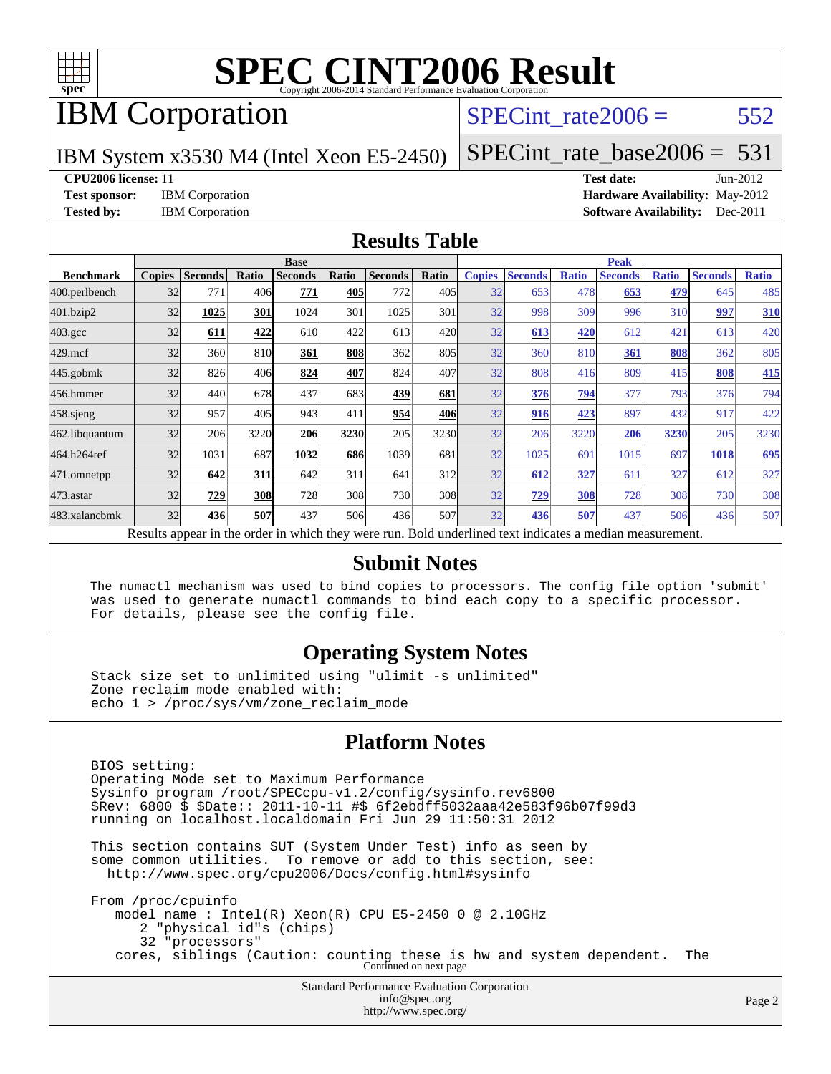

### IBM Corporation

#### SPECint rate $2006 = 552$

IBM System x3530 M4 (Intel Xeon E5-2450)

[SPECint\\_rate\\_base2006 =](http://www.spec.org/auto/cpu2006/Docs/result-fields.html#SPECintratebase2006)  $531$ 

#### **[CPU2006 license:](http://www.spec.org/auto/cpu2006/Docs/result-fields.html#CPU2006license)** 11 **[Test date:](http://www.spec.org/auto/cpu2006/Docs/result-fields.html#Testdate)** Jun-2012

**[Test sponsor:](http://www.spec.org/auto/cpu2006/Docs/result-fields.html#Testsponsor)** IBM Corporation **[Hardware Availability:](http://www.spec.org/auto/cpu2006/Docs/result-fields.html#HardwareAvailability)** May-2012 **[Tested by:](http://www.spec.org/auto/cpu2006/Docs/result-fields.html#Testedby)** IBM Corporation **[Software Availability:](http://www.spec.org/auto/cpu2006/Docs/result-fields.html#SoftwareAvailability)** Dec-2011

#### **[Results Table](http://www.spec.org/auto/cpu2006/Docs/result-fields.html#ResultsTable)**

|                                                                                                          | <b>Base</b>   |                |       |                |       |                |       | <b>Peak</b>   |                |              |                |              |                |              |
|----------------------------------------------------------------------------------------------------------|---------------|----------------|-------|----------------|-------|----------------|-------|---------------|----------------|--------------|----------------|--------------|----------------|--------------|
| <b>Benchmark</b>                                                                                         | <b>Copies</b> | <b>Seconds</b> | Ratio | <b>Seconds</b> | Ratio | <b>Seconds</b> | Ratio | <b>Copies</b> | <b>Seconds</b> | <b>Ratio</b> | <b>Seconds</b> | <b>Ratio</b> | <b>Seconds</b> | <b>Ratio</b> |
| 400.perlbench                                                                                            | 32            | 771            | 406   | 771            | 405   | 772            | 405   | 32            | 653            | 478          | 653            | 479          | 645            | 485          |
| 401.bzip2                                                                                                | 32            | 1025           | 301   | 1024           | 301   | 1025           | 301   | 32            | 998            | 309          | 996            | 310          | 997            | 310          |
| $403.\mathrm{gcc}$                                                                                       | 32            | 611            | 422   | 610            | 422   | 613            | 420   | 32            | 613            | 420          | 612            | 421          | 613            | 420          |
| $429$ .mcf                                                                                               | 32            | 360            | 810   | 361            | 808   | 362            | 805   | 32            | 360            | 810          | 361            | 808          | 362            | 805          |
| $445$ .gobmk                                                                                             | 32            | 826            | 406   | 824            | 407   | 824            | 407   | 32            | 808            | 416          | 809            | 415          | 808            | 415          |
| 456.hmmer                                                                                                | 32            | 440            | 678   | 437            | 683   | 439            | 681   | 32            | 376            | 794          | 377            | 793          | 376            | 794          |
| $458$ .sjeng                                                                                             | 32            | 957            | 405   | 943            | 411   | 954            | 406   | 32            | 916            | 423          | 897            | 432          | 917            | 422          |
| 462.libquantum                                                                                           | 32            | 206            | 3220  | 206            | 3230  | 205            | 3230  | 32            | 206            | 3220         | 206            | 3230         | 205            | 3230         |
| 464.h264ref                                                                                              | 32            | 1031           | 687   | 1032           | 686   | 1039           | 681   | 32            | 1025           | 691          | 1015           | 697          | 1018           | 695          |
| 471.omnetpp                                                                                              | 32            | 642            | 311   | 642            | 311   | 641            | 312   | 32            | 612            | 327          | 611            | 327          | 612            | 327          |
| $473$ . astar                                                                                            | 32            | 729            | 308   | 728            | 308   | 730            | 308   | 32            | 729            | 308          | 728            | 308          | 730            | 308          |
| 483.xalancbmk                                                                                            | 32            | 436            | 507   | 437            | 506   | 436            | 507   | 32            | 436            | 507          | 437            | 506          | 436            | 507          |
| Results appear in the order in which they were run. Bold underlined text indicates a median measurement. |               |                |       |                |       |                |       |               |                |              |                |              |                |              |

#### **[Submit Notes](http://www.spec.org/auto/cpu2006/Docs/result-fields.html#SubmitNotes)**

 The numactl mechanism was used to bind copies to processors. The config file option 'submit' was used to generate numactl commands to bind each copy to a specific processor. For details, please see the config file.

#### **[Operating System Notes](http://www.spec.org/auto/cpu2006/Docs/result-fields.html#OperatingSystemNotes)**

 Stack size set to unlimited using "ulimit -s unlimited" Zone reclaim mode enabled with: echo 1 > /proc/sys/vm/zone\_reclaim\_mode

#### **[Platform Notes](http://www.spec.org/auto/cpu2006/Docs/result-fields.html#PlatformNotes)**

Standard Performance Evaluation Corporation BIOS setting: Operating Mode set to Maximum Performance Sysinfo program /root/SPECcpu-v1.2/config/sysinfo.rev6800 \$Rev: 6800 \$ \$Date:: 2011-10-11 #\$ 6f2ebdff5032aaa42e583f96b07f99d3 running on localhost.localdomain Fri Jun 29 11:50:31 2012 This section contains SUT (System Under Test) info as seen by some common utilities. To remove or add to this section, see: <http://www.spec.org/cpu2006/Docs/config.html#sysinfo> From /proc/cpuinfo model name : Intel(R) Xeon(R) CPU E5-2450 0 @ 2.10GHz 2 "physical id"s (chips) 32 "processors" cores, siblings (Caution: counting these is hw and system dependent. The Continued on next page

[info@spec.org](mailto:info@spec.org) <http://www.spec.org/>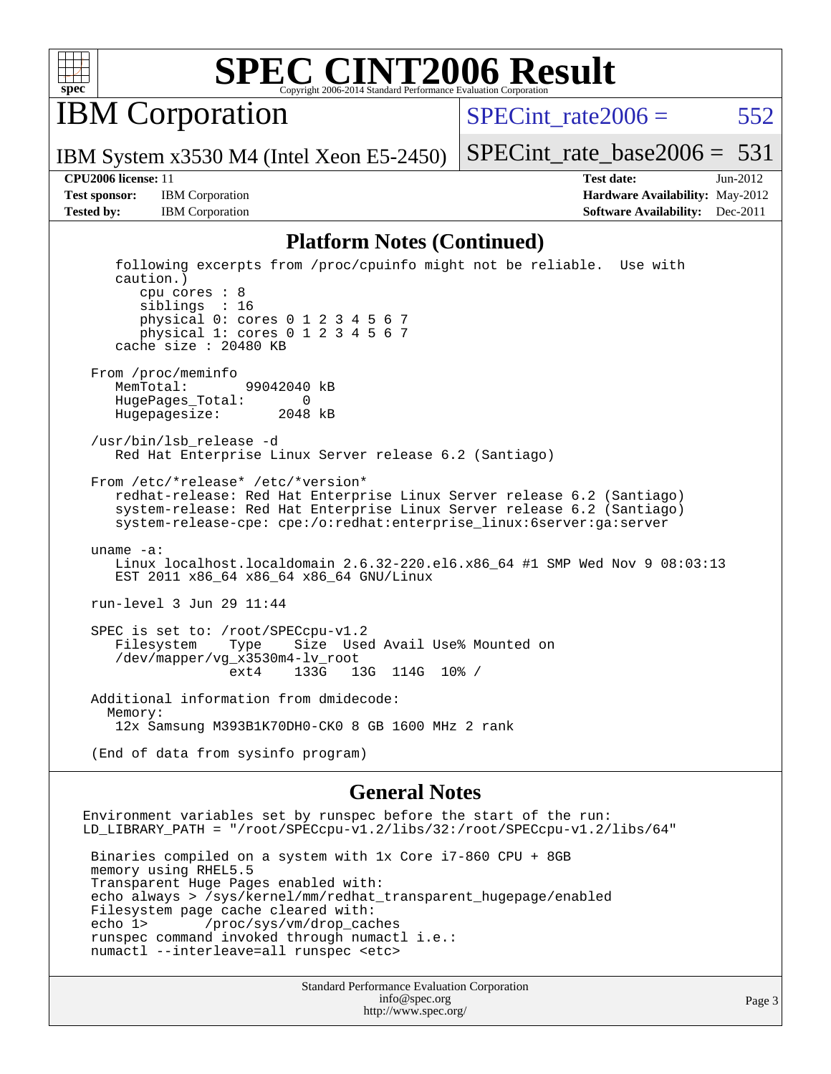

IBM Corporation

IBM System x3530 M4 (Intel Xeon E5-2450)

SPECint rate $2006 = 552$ 

[SPECint\\_rate\\_base2006 =](http://www.spec.org/auto/cpu2006/Docs/result-fields.html#SPECintratebase2006)  $531$ 

**[Test sponsor:](http://www.spec.org/auto/cpu2006/Docs/result-fields.html#Testsponsor)** IBM Corporation **[Hardware Availability:](http://www.spec.org/auto/cpu2006/Docs/result-fields.html#HardwareAvailability)** May-2012

**[CPU2006 license:](http://www.spec.org/auto/cpu2006/Docs/result-fields.html#CPU2006license)** 11 **[Test date:](http://www.spec.org/auto/cpu2006/Docs/result-fields.html#Testdate)** Jun-2012 **[Tested by:](http://www.spec.org/auto/cpu2006/Docs/result-fields.html#Testedby)** IBM Corporation **IBM** Corporation **[Software Availability:](http://www.spec.org/auto/cpu2006/Docs/result-fields.html#SoftwareAvailability)** Dec-2011

#### **[Platform Notes \(Continued\)](http://www.spec.org/auto/cpu2006/Docs/result-fields.html#PlatformNotes)**

 following excerpts from /proc/cpuinfo might not be reliable. Use with caution.) cpu cores : 8 siblings : 16 physical 0: cores 0 1 2 3 4 5 6 7 physical 1: cores 0 1 2 3 4 5 6 7 cache size : 20480 KB From /proc/meminfo MemTotal: 99042040 kB HugePages\_Total: 0 Hugepagesize: 2048 kB /usr/bin/lsb\_release -d Red Hat Enterprise Linux Server release 6.2 (Santiago) From /etc/\*release\* /etc/\*version\* redhat-release: Red Hat Enterprise Linux Server release 6.2 (Santiago) system-release: Red Hat Enterprise Linux Server release 6.2 (Santiago) system-release-cpe: cpe:/o:redhat:enterprise\_linux:6server:ga:server uname -a: Linux localhost.localdomain 2.6.32-220.el6.x86\_64 #1 SMP Wed Nov 9 08:03:13 EST 2011 x86\_64 x86\_64 x86\_64 GNU/Linux run-level 3 Jun 29 11:44 SPEC is set to: /root/SPECcpu-v1.2<br>Filesystem Type Size Use Filesystem Type Size Used Avail Use% Mounted on /dev/mapper/vg\_x3530m4-lv\_root ext4 133G 13G 114G 10% / Additional information from dmidecode: Memory: 12x Samsung M393B1K70DH0-CK0 8 GB 1600 MHz 2 rank (End of data from sysinfo program)

#### **[General Notes](http://www.spec.org/auto/cpu2006/Docs/result-fields.html#GeneralNotes)**

Environment variables set by runspec before the start of the run: LD\_LIBRARY\_PATH = "/root/SPECcpu-v1.2/libs/32:/root/SPECcpu-v1.2/libs/64" Binaries compiled on a system with 1x Core i7-860 CPU + 8GB memory using RHEL5.5 Transparent Huge Pages enabled with: echo always > /sys/kernel/mm/redhat\_transparent\_hugepage/enabled Filesystem page cache cleared with: echo 1> /proc/sys/vm/drop\_caches runspec command invoked through numactl i.e.: numactl --interleave=all runspec <etc>

> Standard Performance Evaluation Corporation [info@spec.org](mailto:info@spec.org) <http://www.spec.org/>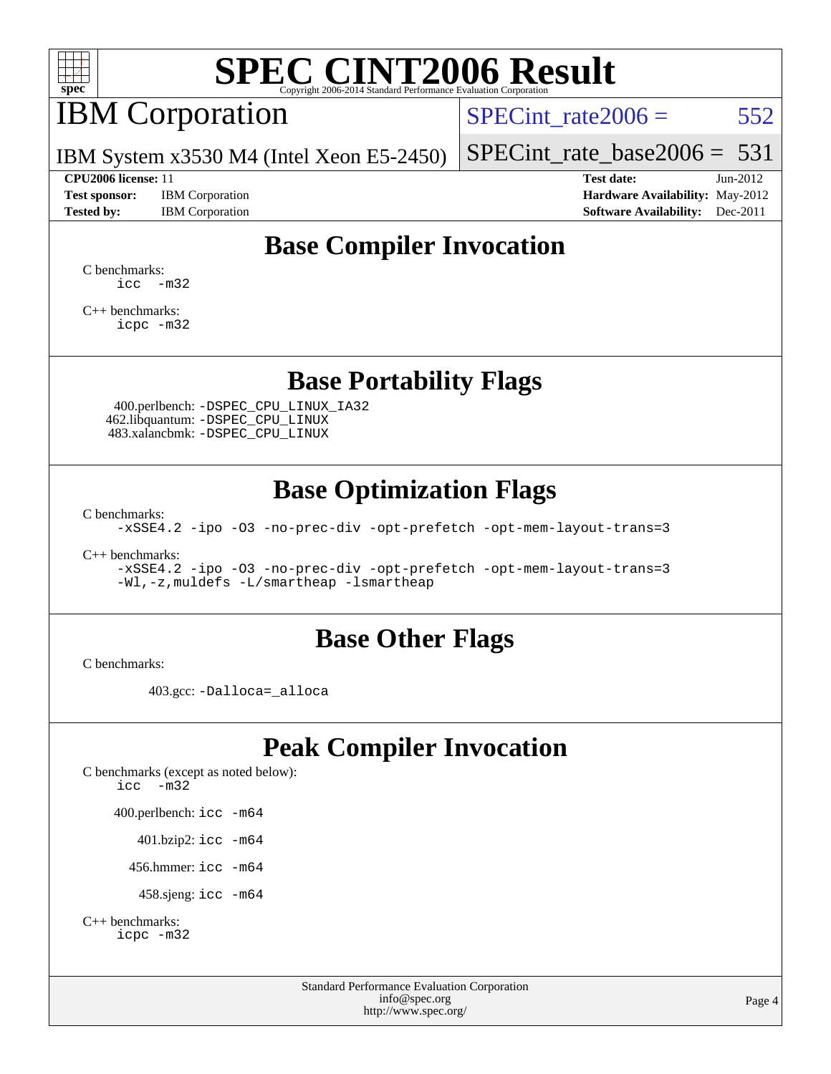

## IBM Corporation

SPECint rate $2006 = 552$ 

[SPECint\\_rate\\_base2006 =](http://www.spec.org/auto/cpu2006/Docs/result-fields.html#SPECintratebase2006)  $531$ 

IBM System x3530 M4 (Intel Xeon E5-2450)

**[Test sponsor:](http://www.spec.org/auto/cpu2006/Docs/result-fields.html#Testsponsor)** IBM Corporation **[Hardware Availability:](http://www.spec.org/auto/cpu2006/Docs/result-fields.html#HardwareAvailability)** May-2012

**[CPU2006 license:](http://www.spec.org/auto/cpu2006/Docs/result-fields.html#CPU2006license)** 11 **[Test date:](http://www.spec.org/auto/cpu2006/Docs/result-fields.html#Testdate)** Jun-2012 **[Tested by:](http://www.spec.org/auto/cpu2006/Docs/result-fields.html#Testedby)** IBM Corporation **[Software Availability:](http://www.spec.org/auto/cpu2006/Docs/result-fields.html#SoftwareAvailability)** Dec-2011

### **[Base Compiler Invocation](http://www.spec.org/auto/cpu2006/Docs/result-fields.html#BaseCompilerInvocation)**

[C benchmarks](http://www.spec.org/auto/cpu2006/Docs/result-fields.html#Cbenchmarks):  $\text{icc}$   $-\text{m32}$ 

[C++ benchmarks:](http://www.spec.org/auto/cpu2006/Docs/result-fields.html#CXXbenchmarks) [icpc -m32](http://www.spec.org/cpu2006/results/res2012q3/cpu2006-20120710-23545.flags.html#user_CXXbase_intel_icpc_4e5a5ef1a53fd332b3c49e69c3330699)

#### **[Base Portability Flags](http://www.spec.org/auto/cpu2006/Docs/result-fields.html#BasePortabilityFlags)**

 400.perlbench: [-DSPEC\\_CPU\\_LINUX\\_IA32](http://www.spec.org/cpu2006/results/res2012q3/cpu2006-20120710-23545.flags.html#b400.perlbench_baseCPORTABILITY_DSPEC_CPU_LINUX_IA32) 462.libquantum: [-DSPEC\\_CPU\\_LINUX](http://www.spec.org/cpu2006/results/res2012q3/cpu2006-20120710-23545.flags.html#b462.libquantum_baseCPORTABILITY_DSPEC_CPU_LINUX) 483.xalancbmk: [-DSPEC\\_CPU\\_LINUX](http://www.spec.org/cpu2006/results/res2012q3/cpu2006-20120710-23545.flags.html#b483.xalancbmk_baseCXXPORTABILITY_DSPEC_CPU_LINUX)

### **[Base Optimization Flags](http://www.spec.org/auto/cpu2006/Docs/result-fields.html#BaseOptimizationFlags)**

[C benchmarks](http://www.spec.org/auto/cpu2006/Docs/result-fields.html#Cbenchmarks):

[-xSSE4.2](http://www.spec.org/cpu2006/results/res2012q3/cpu2006-20120710-23545.flags.html#user_CCbase_f-xSSE42_f91528193cf0b216347adb8b939d4107) [-ipo](http://www.spec.org/cpu2006/results/res2012q3/cpu2006-20120710-23545.flags.html#user_CCbase_f-ipo) [-O3](http://www.spec.org/cpu2006/results/res2012q3/cpu2006-20120710-23545.flags.html#user_CCbase_f-O3) [-no-prec-div](http://www.spec.org/cpu2006/results/res2012q3/cpu2006-20120710-23545.flags.html#user_CCbase_f-no-prec-div) [-opt-prefetch](http://www.spec.org/cpu2006/results/res2012q3/cpu2006-20120710-23545.flags.html#user_CCbase_f-opt-prefetch) [-opt-mem-layout-trans=3](http://www.spec.org/cpu2006/results/res2012q3/cpu2006-20120710-23545.flags.html#user_CCbase_f-opt-mem-layout-trans_a7b82ad4bd7abf52556d4961a2ae94d5)

[C++ benchmarks:](http://www.spec.org/auto/cpu2006/Docs/result-fields.html#CXXbenchmarks)

[-xSSE4.2](http://www.spec.org/cpu2006/results/res2012q3/cpu2006-20120710-23545.flags.html#user_CXXbase_f-xSSE42_f91528193cf0b216347adb8b939d4107) [-ipo](http://www.spec.org/cpu2006/results/res2012q3/cpu2006-20120710-23545.flags.html#user_CXXbase_f-ipo) [-O3](http://www.spec.org/cpu2006/results/res2012q3/cpu2006-20120710-23545.flags.html#user_CXXbase_f-O3) [-no-prec-div](http://www.spec.org/cpu2006/results/res2012q3/cpu2006-20120710-23545.flags.html#user_CXXbase_f-no-prec-div) [-opt-prefetch](http://www.spec.org/cpu2006/results/res2012q3/cpu2006-20120710-23545.flags.html#user_CXXbase_f-opt-prefetch) [-opt-mem-layout-trans=3](http://www.spec.org/cpu2006/results/res2012q3/cpu2006-20120710-23545.flags.html#user_CXXbase_f-opt-mem-layout-trans_a7b82ad4bd7abf52556d4961a2ae94d5) [-Wl,-z,muldefs](http://www.spec.org/cpu2006/results/res2012q3/cpu2006-20120710-23545.flags.html#user_CXXbase_link_force_multiple1_74079c344b956b9658436fd1b6dd3a8a) [-L/smartheap -lsmartheap](http://www.spec.org/cpu2006/results/res2012q3/cpu2006-20120710-23545.flags.html#user_CXXbase_SmartHeap_7c9e394a5779e1a7fec7c221e123830c)

#### **[Base Other Flags](http://www.spec.org/auto/cpu2006/Docs/result-fields.html#BaseOtherFlags)**

[C benchmarks](http://www.spec.org/auto/cpu2006/Docs/result-fields.html#Cbenchmarks):

403.gcc: [-Dalloca=\\_alloca](http://www.spec.org/cpu2006/results/res2012q3/cpu2006-20120710-23545.flags.html#b403.gcc_baseEXTRA_CFLAGS_Dalloca_be3056838c12de2578596ca5467af7f3)

### **[Peak Compiler Invocation](http://www.spec.org/auto/cpu2006/Docs/result-fields.html#PeakCompilerInvocation)**

[C benchmarks \(except as noted below\)](http://www.spec.org/auto/cpu2006/Docs/result-fields.html#Cbenchmarksexceptasnotedbelow): [icc -m32](http://www.spec.org/cpu2006/results/res2012q3/cpu2006-20120710-23545.flags.html#user_CCpeak_intel_icc_5ff4a39e364c98233615fdd38438c6f2) 400.perlbench: [icc -m64](http://www.spec.org/cpu2006/results/res2012q3/cpu2006-20120710-23545.flags.html#user_peakCCLD400_perlbench_intel_icc_64bit_bda6cc9af1fdbb0edc3795bac97ada53) 401.bzip2: [icc -m64](http://www.spec.org/cpu2006/results/res2012q3/cpu2006-20120710-23545.flags.html#user_peakCCLD401_bzip2_intel_icc_64bit_bda6cc9af1fdbb0edc3795bac97ada53)

456.hmmer: [icc -m64](http://www.spec.org/cpu2006/results/res2012q3/cpu2006-20120710-23545.flags.html#user_peakCCLD456_hmmer_intel_icc_64bit_bda6cc9af1fdbb0edc3795bac97ada53)

458.sjeng: [icc -m64](http://www.spec.org/cpu2006/results/res2012q3/cpu2006-20120710-23545.flags.html#user_peakCCLD458_sjeng_intel_icc_64bit_bda6cc9af1fdbb0edc3795bac97ada53)

```
C++ benchmarks: 
icpc -m32
```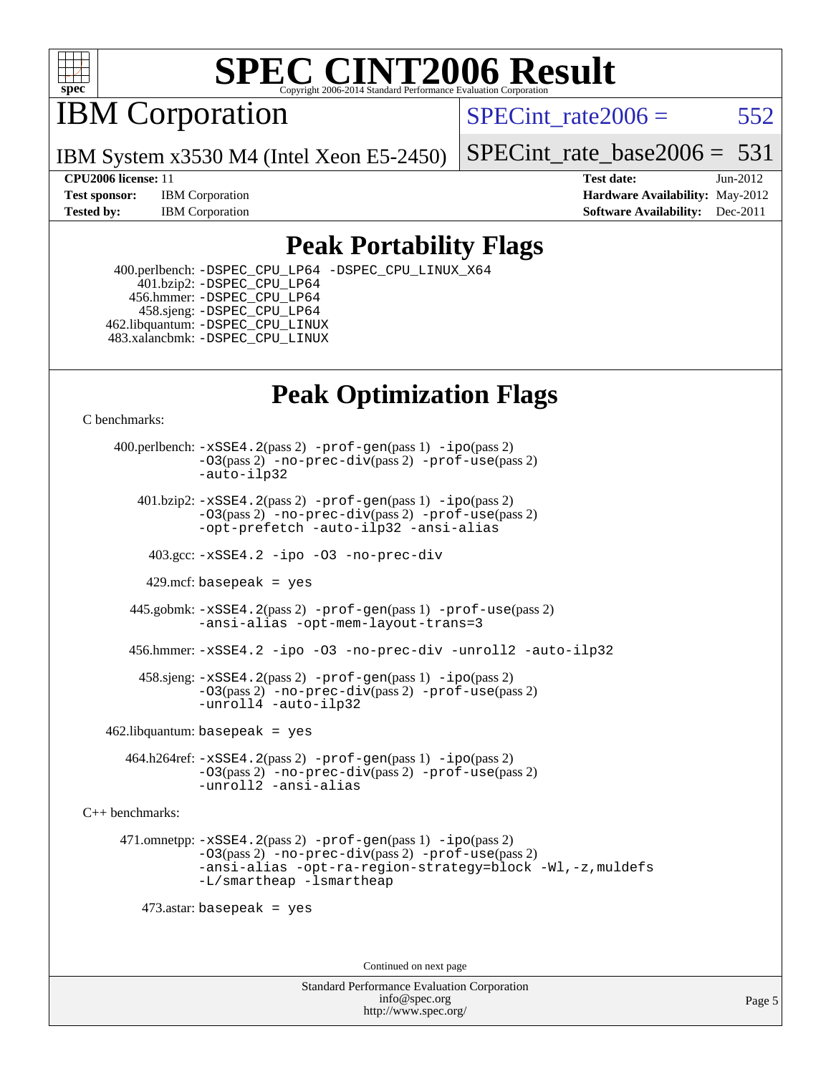

IBM Corporation

SPECint rate $2006 = 552$ 

IBM System x3530 M4 (Intel Xeon E5-2450)

[SPECint\\_rate\\_base2006 =](http://www.spec.org/auto/cpu2006/Docs/result-fields.html#SPECintratebase2006)  $531$ 

**[CPU2006 license:](http://www.spec.org/auto/cpu2006/Docs/result-fields.html#CPU2006license)** 11 **[Test date:](http://www.spec.org/auto/cpu2006/Docs/result-fields.html#Testdate)** Jun-2012 **[Test sponsor:](http://www.spec.org/auto/cpu2006/Docs/result-fields.html#Testsponsor)** IBM Corporation **[Hardware Availability:](http://www.spec.org/auto/cpu2006/Docs/result-fields.html#HardwareAvailability)** May-2012 **[Tested by:](http://www.spec.org/auto/cpu2006/Docs/result-fields.html#Testedby)** IBM Corporation **[Software Availability:](http://www.spec.org/auto/cpu2006/Docs/result-fields.html#SoftwareAvailability)** Dec-2011

#### **[Peak Portability Flags](http://www.spec.org/auto/cpu2006/Docs/result-fields.html#PeakPortabilityFlags)**

 400.perlbench: [-DSPEC\\_CPU\\_LP64](http://www.spec.org/cpu2006/results/res2012q3/cpu2006-20120710-23545.flags.html#b400.perlbench_peakCPORTABILITY_DSPEC_CPU_LP64) [-DSPEC\\_CPU\\_LINUX\\_X64](http://www.spec.org/cpu2006/results/res2012q3/cpu2006-20120710-23545.flags.html#b400.perlbench_peakCPORTABILITY_DSPEC_CPU_LINUX_X64) 401.bzip2: [-DSPEC\\_CPU\\_LP64](http://www.spec.org/cpu2006/results/res2012q3/cpu2006-20120710-23545.flags.html#suite_peakCPORTABILITY401_bzip2_DSPEC_CPU_LP64) 456.hmmer: [-DSPEC\\_CPU\\_LP64](http://www.spec.org/cpu2006/results/res2012q3/cpu2006-20120710-23545.flags.html#suite_peakCPORTABILITY456_hmmer_DSPEC_CPU_LP64) 458.sjeng: [-DSPEC\\_CPU\\_LP64](http://www.spec.org/cpu2006/results/res2012q3/cpu2006-20120710-23545.flags.html#suite_peakCPORTABILITY458_sjeng_DSPEC_CPU_LP64) 462.libquantum: [-DSPEC\\_CPU\\_LINUX](http://www.spec.org/cpu2006/results/res2012q3/cpu2006-20120710-23545.flags.html#b462.libquantum_peakCPORTABILITY_DSPEC_CPU_LINUX) 483.xalancbmk: [-DSPEC\\_CPU\\_LINUX](http://www.spec.org/cpu2006/results/res2012q3/cpu2006-20120710-23545.flags.html#b483.xalancbmk_peakCXXPORTABILITY_DSPEC_CPU_LINUX)

### **[Peak Optimization Flags](http://www.spec.org/auto/cpu2006/Docs/result-fields.html#PeakOptimizationFlags)**

[C benchmarks](http://www.spec.org/auto/cpu2006/Docs/result-fields.html#Cbenchmarks):

 400.perlbench: [-xSSE4.2](http://www.spec.org/cpu2006/results/res2012q3/cpu2006-20120710-23545.flags.html#user_peakPASS2_CFLAGSPASS2_LDCFLAGS400_perlbench_f-xSSE42_f91528193cf0b216347adb8b939d4107)(pass 2) [-prof-gen](http://www.spec.org/cpu2006/results/res2012q3/cpu2006-20120710-23545.flags.html#user_peakPASS1_CFLAGSPASS1_LDCFLAGS400_perlbench_prof_gen_e43856698f6ca7b7e442dfd80e94a8fc)(pass 1) [-ipo](http://www.spec.org/cpu2006/results/res2012q3/cpu2006-20120710-23545.flags.html#user_peakPASS2_CFLAGSPASS2_LDCFLAGS400_perlbench_f-ipo)(pass 2) [-O3](http://www.spec.org/cpu2006/results/res2012q3/cpu2006-20120710-23545.flags.html#user_peakPASS2_CFLAGSPASS2_LDCFLAGS400_perlbench_f-O3)(pass 2) [-no-prec-div](http://www.spec.org/cpu2006/results/res2012q3/cpu2006-20120710-23545.flags.html#user_peakPASS2_CFLAGSPASS2_LDCFLAGS400_perlbench_f-no-prec-div)(pass 2) [-prof-use](http://www.spec.org/cpu2006/results/res2012q3/cpu2006-20120710-23545.flags.html#user_peakPASS2_CFLAGSPASS2_LDCFLAGS400_perlbench_prof_use_bccf7792157ff70d64e32fe3e1250b55)(pass 2) [-auto-ilp32](http://www.spec.org/cpu2006/results/res2012q3/cpu2006-20120710-23545.flags.html#user_peakCOPTIMIZE400_perlbench_f-auto-ilp32)  $401.bzip2: -xSSE4.2(pass 2) -prof-qen(pass 1) -ipo(pass 2)$  $401.bzip2: -xSSE4.2(pass 2) -prof-qen(pass 1) -ipo(pass 2)$  $401.bzip2: -xSSE4.2(pass 2) -prof-qen(pass 1) -ipo(pass 2)$  $401.bzip2: -xSSE4.2(pass 2) -prof-qen(pass 1) -ipo(pass 2)$  $401.bzip2: -xSSE4.2(pass 2) -prof-qen(pass 1) -ipo(pass 2)$ [-O3](http://www.spec.org/cpu2006/results/res2012q3/cpu2006-20120710-23545.flags.html#user_peakPASS2_CFLAGSPASS2_LDCFLAGS401_bzip2_f-O3)(pass 2) [-no-prec-div](http://www.spec.org/cpu2006/results/res2012q3/cpu2006-20120710-23545.flags.html#user_peakPASS2_CFLAGSPASS2_LDCFLAGS401_bzip2_f-no-prec-div)(pass 2) [-prof-use](http://www.spec.org/cpu2006/results/res2012q3/cpu2006-20120710-23545.flags.html#user_peakPASS2_CFLAGSPASS2_LDCFLAGS401_bzip2_prof_use_bccf7792157ff70d64e32fe3e1250b55)(pass 2) [-opt-prefetch](http://www.spec.org/cpu2006/results/res2012q3/cpu2006-20120710-23545.flags.html#user_peakCOPTIMIZE401_bzip2_f-opt-prefetch) [-auto-ilp32](http://www.spec.org/cpu2006/results/res2012q3/cpu2006-20120710-23545.flags.html#user_peakCOPTIMIZE401_bzip2_f-auto-ilp32) [-ansi-alias](http://www.spec.org/cpu2006/results/res2012q3/cpu2006-20120710-23545.flags.html#user_peakCOPTIMIZE401_bzip2_f-ansi-alias) 403.gcc: [-xSSE4.2](http://www.spec.org/cpu2006/results/res2012q3/cpu2006-20120710-23545.flags.html#user_peakCOPTIMIZE403_gcc_f-xSSE42_f91528193cf0b216347adb8b939d4107) [-ipo](http://www.spec.org/cpu2006/results/res2012q3/cpu2006-20120710-23545.flags.html#user_peakCOPTIMIZE403_gcc_f-ipo) [-O3](http://www.spec.org/cpu2006/results/res2012q3/cpu2006-20120710-23545.flags.html#user_peakCOPTIMIZE403_gcc_f-O3) [-no-prec-div](http://www.spec.org/cpu2006/results/res2012q3/cpu2006-20120710-23545.flags.html#user_peakCOPTIMIZE403_gcc_f-no-prec-div) 429.mcf: basepeak = yes 445.gobmk: [-xSSE4.2](http://www.spec.org/cpu2006/results/res2012q3/cpu2006-20120710-23545.flags.html#user_peakPASS2_CFLAGSPASS2_LDCFLAGS445_gobmk_f-xSSE42_f91528193cf0b216347adb8b939d4107)(pass 2) [-prof-gen](http://www.spec.org/cpu2006/results/res2012q3/cpu2006-20120710-23545.flags.html#user_peakPASS1_CFLAGSPASS1_LDCFLAGS445_gobmk_prof_gen_e43856698f6ca7b7e442dfd80e94a8fc)(pass 1) [-prof-use](http://www.spec.org/cpu2006/results/res2012q3/cpu2006-20120710-23545.flags.html#user_peakPASS2_CFLAGSPASS2_LDCFLAGS445_gobmk_prof_use_bccf7792157ff70d64e32fe3e1250b55)(pass 2) [-ansi-alias](http://www.spec.org/cpu2006/results/res2012q3/cpu2006-20120710-23545.flags.html#user_peakCOPTIMIZE445_gobmk_f-ansi-alias) [-opt-mem-layout-trans=3](http://www.spec.org/cpu2006/results/res2012q3/cpu2006-20120710-23545.flags.html#user_peakCOPTIMIZE445_gobmk_f-opt-mem-layout-trans_a7b82ad4bd7abf52556d4961a2ae94d5) 456.hmmer: [-xSSE4.2](http://www.spec.org/cpu2006/results/res2012q3/cpu2006-20120710-23545.flags.html#user_peakCOPTIMIZE456_hmmer_f-xSSE42_f91528193cf0b216347adb8b939d4107) [-ipo](http://www.spec.org/cpu2006/results/res2012q3/cpu2006-20120710-23545.flags.html#user_peakCOPTIMIZE456_hmmer_f-ipo) [-O3](http://www.spec.org/cpu2006/results/res2012q3/cpu2006-20120710-23545.flags.html#user_peakCOPTIMIZE456_hmmer_f-O3) [-no-prec-div](http://www.spec.org/cpu2006/results/res2012q3/cpu2006-20120710-23545.flags.html#user_peakCOPTIMIZE456_hmmer_f-no-prec-div) [-unroll2](http://www.spec.org/cpu2006/results/res2012q3/cpu2006-20120710-23545.flags.html#user_peakCOPTIMIZE456_hmmer_f-unroll_784dae83bebfb236979b41d2422d7ec2) [-auto-ilp32](http://www.spec.org/cpu2006/results/res2012q3/cpu2006-20120710-23545.flags.html#user_peakCOPTIMIZE456_hmmer_f-auto-ilp32) 458.sjeng: [-xSSE4.2](http://www.spec.org/cpu2006/results/res2012q3/cpu2006-20120710-23545.flags.html#user_peakPASS2_CFLAGSPASS2_LDCFLAGS458_sjeng_f-xSSE42_f91528193cf0b216347adb8b939d4107)(pass 2) [-prof-gen](http://www.spec.org/cpu2006/results/res2012q3/cpu2006-20120710-23545.flags.html#user_peakPASS1_CFLAGSPASS1_LDCFLAGS458_sjeng_prof_gen_e43856698f6ca7b7e442dfd80e94a8fc)(pass 1) [-ipo](http://www.spec.org/cpu2006/results/res2012q3/cpu2006-20120710-23545.flags.html#user_peakPASS2_CFLAGSPASS2_LDCFLAGS458_sjeng_f-ipo)(pass 2) [-O3](http://www.spec.org/cpu2006/results/res2012q3/cpu2006-20120710-23545.flags.html#user_peakPASS2_CFLAGSPASS2_LDCFLAGS458_sjeng_f-O3)(pass 2) [-no-prec-div](http://www.spec.org/cpu2006/results/res2012q3/cpu2006-20120710-23545.flags.html#user_peakPASS2_CFLAGSPASS2_LDCFLAGS458_sjeng_f-no-prec-div)(pass 2) [-prof-use](http://www.spec.org/cpu2006/results/res2012q3/cpu2006-20120710-23545.flags.html#user_peakPASS2_CFLAGSPASS2_LDCFLAGS458_sjeng_prof_use_bccf7792157ff70d64e32fe3e1250b55)(pass 2) [-unroll4](http://www.spec.org/cpu2006/results/res2012q3/cpu2006-20120710-23545.flags.html#user_peakCOPTIMIZE458_sjeng_f-unroll_4e5e4ed65b7fd20bdcd365bec371b81f) [-auto-ilp32](http://www.spec.org/cpu2006/results/res2012q3/cpu2006-20120710-23545.flags.html#user_peakCOPTIMIZE458_sjeng_f-auto-ilp32)  $462$ .libquantum: basepeak = yes 464.h264ref: [-xSSE4.2](http://www.spec.org/cpu2006/results/res2012q3/cpu2006-20120710-23545.flags.html#user_peakPASS2_CFLAGSPASS2_LDCFLAGS464_h264ref_f-xSSE42_f91528193cf0b216347adb8b939d4107)(pass 2) [-prof-gen](http://www.spec.org/cpu2006/results/res2012q3/cpu2006-20120710-23545.flags.html#user_peakPASS1_CFLAGSPASS1_LDCFLAGS464_h264ref_prof_gen_e43856698f6ca7b7e442dfd80e94a8fc)(pass 1) [-ipo](http://www.spec.org/cpu2006/results/res2012q3/cpu2006-20120710-23545.flags.html#user_peakPASS2_CFLAGSPASS2_LDCFLAGS464_h264ref_f-ipo)(pass 2) [-O3](http://www.spec.org/cpu2006/results/res2012q3/cpu2006-20120710-23545.flags.html#user_peakPASS2_CFLAGSPASS2_LDCFLAGS464_h264ref_f-O3)(pass 2) [-no-prec-div](http://www.spec.org/cpu2006/results/res2012q3/cpu2006-20120710-23545.flags.html#user_peakPASS2_CFLAGSPASS2_LDCFLAGS464_h264ref_f-no-prec-div)(pass 2) [-prof-use](http://www.spec.org/cpu2006/results/res2012q3/cpu2006-20120710-23545.flags.html#user_peakPASS2_CFLAGSPASS2_LDCFLAGS464_h264ref_prof_use_bccf7792157ff70d64e32fe3e1250b55)(pass 2) [-unroll2](http://www.spec.org/cpu2006/results/res2012q3/cpu2006-20120710-23545.flags.html#user_peakCOPTIMIZE464_h264ref_f-unroll_784dae83bebfb236979b41d2422d7ec2) [-ansi-alias](http://www.spec.org/cpu2006/results/res2012q3/cpu2006-20120710-23545.flags.html#user_peakCOPTIMIZE464_h264ref_f-ansi-alias) [C++ benchmarks:](http://www.spec.org/auto/cpu2006/Docs/result-fields.html#CXXbenchmarks) 471.omnetpp: [-xSSE4.2](http://www.spec.org/cpu2006/results/res2012q3/cpu2006-20120710-23545.flags.html#user_peakPASS2_CXXFLAGSPASS2_LDCXXFLAGS471_omnetpp_f-xSSE42_f91528193cf0b216347adb8b939d4107)(pass 2) [-prof-gen](http://www.spec.org/cpu2006/results/res2012q3/cpu2006-20120710-23545.flags.html#user_peakPASS1_CXXFLAGSPASS1_LDCXXFLAGS471_omnetpp_prof_gen_e43856698f6ca7b7e442dfd80e94a8fc)(pass 1) [-ipo](http://www.spec.org/cpu2006/results/res2012q3/cpu2006-20120710-23545.flags.html#user_peakPASS2_CXXFLAGSPASS2_LDCXXFLAGS471_omnetpp_f-ipo)(pass 2) [-O3](http://www.spec.org/cpu2006/results/res2012q3/cpu2006-20120710-23545.flags.html#user_peakPASS2_CXXFLAGSPASS2_LDCXXFLAGS471_omnetpp_f-O3)(pass 2) [-no-prec-div](http://www.spec.org/cpu2006/results/res2012q3/cpu2006-20120710-23545.flags.html#user_peakPASS2_CXXFLAGSPASS2_LDCXXFLAGS471_omnetpp_f-no-prec-div)(pass 2) [-prof-use](http://www.spec.org/cpu2006/results/res2012q3/cpu2006-20120710-23545.flags.html#user_peakPASS2_CXXFLAGSPASS2_LDCXXFLAGS471_omnetpp_prof_use_bccf7792157ff70d64e32fe3e1250b55)(pass 2) [-ansi-alias](http://www.spec.org/cpu2006/results/res2012q3/cpu2006-20120710-23545.flags.html#user_peakCXXOPTIMIZE471_omnetpp_f-ansi-alias) [-opt-ra-region-strategy=block](http://www.spec.org/cpu2006/results/res2012q3/cpu2006-20120710-23545.flags.html#user_peakCXXOPTIMIZE471_omnetpp_f-opt-ra-region-strategy_a0a37c372d03933b2a18d4af463c1f69) [-Wl,-z,muldefs](http://www.spec.org/cpu2006/results/res2012q3/cpu2006-20120710-23545.flags.html#user_peakEXTRA_LDFLAGS471_omnetpp_link_force_multiple1_74079c344b956b9658436fd1b6dd3a8a) [-L/smartheap -lsmartheap](http://www.spec.org/cpu2006/results/res2012q3/cpu2006-20120710-23545.flags.html#user_peakEXTRA_LIBS471_omnetpp_SmartHeap_7c9e394a5779e1a7fec7c221e123830c) 473.astar: basepeak = yes Continued on next page

> Standard Performance Evaluation Corporation [info@spec.org](mailto:info@spec.org) <http://www.spec.org/>